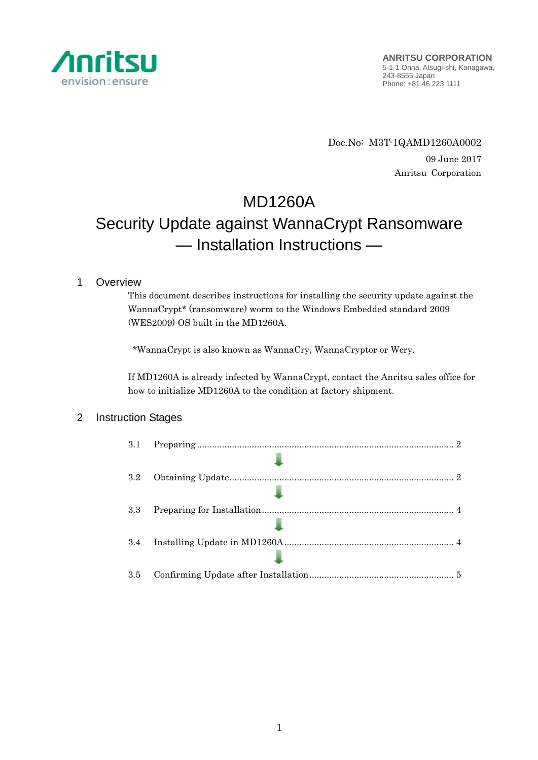

Doc.No: M3T-1QAMD1260A0002 09 June 2017 Anritsu Corporation

MD1260A Security Update against WannaCrypt Ransomware — Installation Instructions —

# 1 Overview

This document describes instructions for installing the security update against the WannaCrypt\* (ransomware) worm to the Windows Embedded standard 2009 (WES2009) OS built in the MD1260A.

\*WannaCrypt is also known as WannaCry, WannaCryptor or Wcry.

If MD1260A is already infected by WannaCrypt, contact the Anritsu sales office for how to initialize MD1260A to the condition at factory shipment.

# 2 Instruction Stages

| 3.1 |  |
|-----|--|
|     |  |
| 3.2 |  |
|     |  |
| 3.3 |  |
|     |  |
| 3.4 |  |
|     |  |
| 3.5 |  |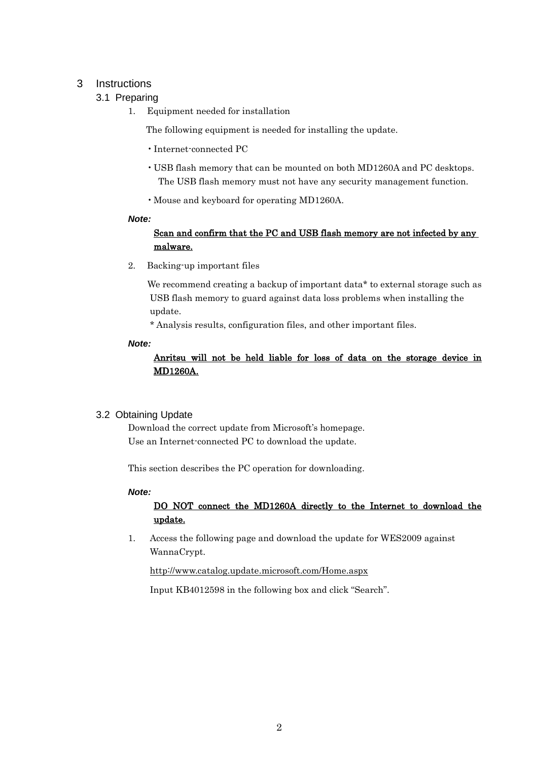## <span id="page-1-0"></span>3 Instructions

## 3.1 Preparing

1. Equipment needed for installation

The following equipment is needed for installing the update.

- •Internet-connected PC
- USB flash memory that can be mounted on both MD1260A and PC desktops. The USB flash memory must not have any security management function.
- •Mouse and keyboard for operating MD1260A.

#### *Note:*

# Scan and confirm that the PC and USB flash memory are not infected by any malware.

2. Backing-up important files

We recommend creating a backup of important data\* to external storage such as USB flash memory to guard against data loss problems when installing the update.

\* Analysis results, configuration files, and other important files.

#### *Note:*

## Anritsu will not be held liable for loss of data on the storage device in MD1260A.

## <span id="page-1-1"></span>3.2 Obtaining Update

Download the correct update from Microsoft's homepage. Use an Internet-connected PC to download the update.

This section describes the PC operation for downloading.

#### *Note:*

# DO NOT connect the MD1260A directly to the Internet to download the update.

1. Access the following page and download the update for WES2009 against WannaCrypt.

<http://www.catalog.update.microsoft.com/Home.aspx>

Input KB4012598 in the following box and click "Search".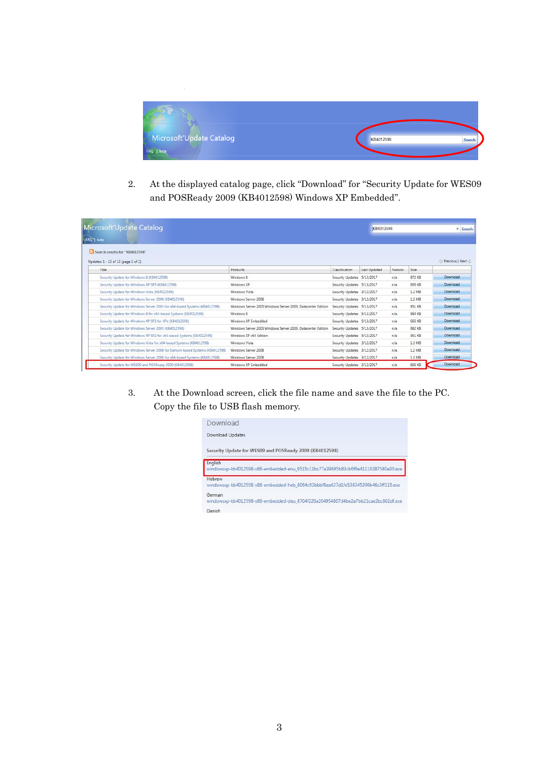

2. At the displayed catalog page, click "Download" for "Security Update for WES09 and POSReady 2009 (KB4012598) Windows XP Embedded".

| Microsoft Update Catalog<br>FAQ <sup>1</sup> help                             |                                                              |                            |                     | KB4012598 |        | x Search        |
|-------------------------------------------------------------------------------|--------------------------------------------------------------|----------------------------|---------------------|-----------|--------|-----------------|
| Search results for "KB4012598"                                                |                                                              |                            |                     |           |        |                 |
| Updates: 1 - 13 of 13 (page 1 of 1)                                           |                                                              |                            |                     |           |        | Previous   Next |
| Title                                                                         | Products                                                     | Classification             | <b>Last Updated</b> | Version   | Size:  |                 |
| Security Update for Windows 8 (KB4012598)                                     | Windows 8                                                    | Security Updates 5/13/2017 |                     | n/s       | 872 KB | Download        |
| Security Update for Windows XP SP3 (KB4012598)                                | Windows XP                                                   | Security Updates 5/13/2017 |                     | n/a       | 665 KB | Download        |
| Security Update for Windows Vista (KB4012598)                                 | Windows Vista                                                | Security Updates 3/12/2017 |                     | n/a       | 1.2 MB | Download        |
| Security Update for Windows Server 2008 (K84012598)                           | Windows Server 2008                                          | Security Updates 3/12/2017 |                     | n/s       | 1.2 MB | Download        |
| Security Update for Windows Server 2003 for x64-based Systems (KB4012598)     | Windows Server 2003 Windows Server 2003. Datacenter Edition. | Security Updates 5/13/2017 |                     | n/a       | 951 KB | Download        |
| Security Update for Windows 8 for x64-based Systems (KB4012598)               | Windows 8                                                    | Security Updates 5/13/2017 |                     | n/a       | 984 KB | Download        |
| Security Update for Windows XP SP3 for XPe (KB4012598)                        | Windows XP Embedded                                          | Security Updates 5/13/2017 |                     | n/a       | 665 KB | Download        |
| Security Update for Windows Server 2003 (KB4012598)                           | Windows Server 2003 Windows Server 2003. Datacenter Edition  | Security Updates 5/13/2017 |                     | n/a       | 682 KB | Download        |
| Security Update for Windows XP SP2 for x64-based Systems (KB4012598)          | Windows XP x64 Edition                                       | Security Updates 5/13/2017 |                     | n/a       | 951 KB | Download        |
| Security Update for Windows Vista for x64-based Systems (K84012598)           | Windows Vista                                                | Security Updates 3/12/2017 |                     | n/a       | 1.3 MB | Download        |
| Security Update for Windows Server 2008 for Itanium-based Systems (KB4012598) | Windows Server 2008                                          | Security Updates 3/12/2017 |                     | n/s       | 1.2 MB | Download        |
| Security Update for Windows Server 2008 for x64-based Systems (KB4012598)     | Windows Server 2008                                          | Security Updates 3/12/2017 |                     | n/a       | 1.3 MB | Download        |
| Security Update for WES09 and POSReady 2009 (KB4012598)                       | Windows XP Embedded                                          | Security Updates 3/12/2017 |                     | n/a       | 665 KB | Download        |

3. At the Download screen, click the file name and save the file to the PC. Copy the file to USB flash memory.

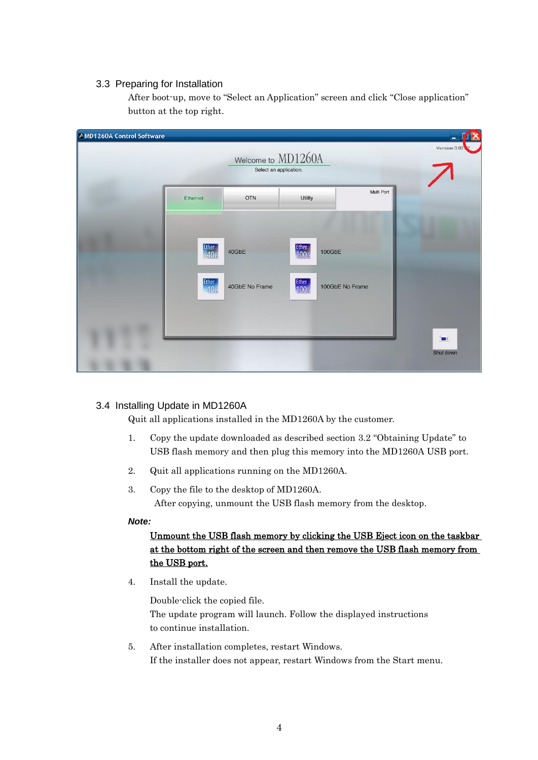### <span id="page-3-0"></span>3.3 Preparing for Installation

After boot-up, move to "Select an Application" screen and click "Close application" button at the top right.

| A MD1260A Control Software |                                                                    | Welcome to MD1260A<br>Select an application. |                                                        |                           | $\overline{\mathbf{x}}$<br>٠<br>Version 3.02 |
|----------------------------|--------------------------------------------------------------------|----------------------------------------------|--------------------------------------------------------|---------------------------|----------------------------------------------|
|                            | Ethernet                                                           | <b>OTN</b>                                   | Multi Port<br>Utility                                  |                           |                                              |
|                            | <b>Ether</b><br>40 <sub>G</sub><br><b>Ether</b><br>40 <sub>G</sub> | 40GbE<br>40GbE No Frame                      | Ether<br>100 <sub>G</sub><br>Ether<br>100 <sub>G</sub> | 100GbE<br>100GbE No Frame |                                              |
|                            |                                                                    |                                              |                                                        |                           | $\mathbf{R}$<br>Shut down                    |

## <span id="page-3-1"></span>3.4 Installing Update in MD1260A

Quit all applications installed in the MD1260A by the customer.

- 1. Copy the update downloaded as described section [3.2](#page-1-1) "[Obtaining Update](#page-1-1)" to USB flash memory and then plug this memory into the MD1260A USB port.
- 2. Quit all applications running on the MD1260A.
- 3. Copy the file to the desktop of MD1260A. After copying, unmount the USB flash memory from the desktop.

#### *Note:*

# Unmount the USB flash memory by clicking the USB Eject icon on the taskbar at the bottom right of the screen and then remove the USB flash memory from the USB port.

4. Install the update.

Double-click the copied file. The update program will launch. Follow the displayed instructions to continue installation.

5. After installation completes, restart Windows. If the installer does not appear, restart Windows from the Start menu.